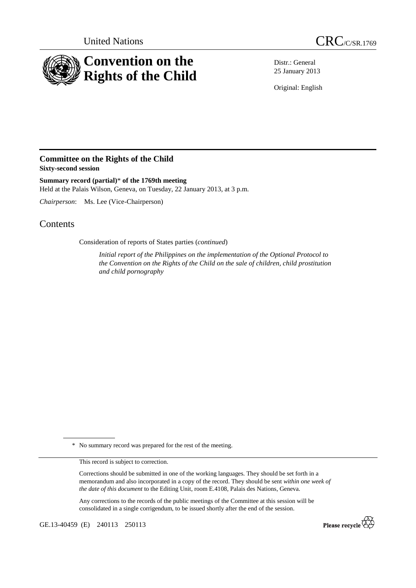



Distr.: General 25 January 2013

Original: English

## **Committee on the Rights of the Child Sixty-second session**

**Summary record (partial)**\* **of the 1769th meeting**  Held at the Palais Wilson, Geneva, on Tuesday, 22 January 2013, at 3 p.m.

*Chairperson*: Ms. Lee (Vice-Chairperson)

## Contents

Consideration of reports of States parties (*continued*)

*Initial report of the Philippines on the implementation of the Optional Protocol to the Convention on the Rights of the Child on the sale of children, child prostitution and child pornography*

\* No summary record was prepared for the rest of the meeting.

This record is subject to correction.

Corrections should be submitted in one of the working languages. They should be set forth in a memorandum and also incorporated in a copy of the record. They should be sent *within one week of the date of this document* to the Editing Unit, room E.4108, Palais des Nations, Geneva.

Any corrections to the records of the public meetings of the Committee at this session will be consolidated in a single corrigendum, to be issued shortly after the end of the session.

GE.13-40459 (E) 240113 250113

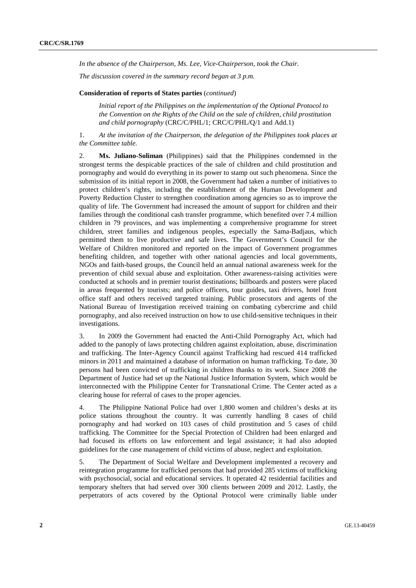*In the absence of the Chairperson, Ms. Lee, Vice-Chairperson, took the Chair.* 

*The discussion covered in the summary record began at 3 p.m.* 

## **Consideration of reports of States parties** (*continued*)

*Initial report of the Philippines on the implementation of the Optional Protocol to the Convention on the Rights of the Child on the sale of children, child prostitution and child pornography* (CRC/C/PHL/1; CRC/C/PHL/Q/1 and Add.1)

1. *At the invitation of the Chairperson, the delegation of the Philippines took places at the Committee table.* 

2. **Ms. Juliano-Soliman** (Philippines) said that the Philippines condemned in the strongest terms the despicable practices of the sale of children and child prostitution and pornography and would do everything in its power to stamp out such phenomena. Since the submission of its initial report in 2008, the Government had taken a number of initiatives to protect children's rights, including the establishment of the Human Development and Poverty Reduction Cluster to strengthen coordination among agencies so as to improve the quality of life. The Government had increased the amount of support for children and their families through the conditional cash transfer programme, which benefited over 7.4 million children in 79 provinces, and was implementing a comprehensive programme for street children, street families and indigenous peoples, especially the Sama-Badjaus, which permitted them to live productive and safe lives. The Government's Council for the Welfare of Children monitored and reported on the impact of Government programmes benefiting children, and together with other national agencies and local governments, NGOs and faith-based groups, the Council held an annual national awareness week for the prevention of child sexual abuse and exploitation. Other awareness-raising activities were conducted at schools and in premier tourist destinations; billboards and posters were placed in areas frequented by tourists; and police officers, tour guides, taxi drivers, hotel front office staff and others received targeted training. Public prosecutors and agents of the National Bureau of Investigation received training on combating cybercrime and child pornography, and also received instruction on how to use child-sensitive techniques in their investigations.

3. In 2009 the Government had enacted the Anti-Child Pornography Act, which had added to the panoply of laws protecting children against exploitation, abuse, discrimination and trafficking. The Inter-Agency Council against Trafficking had rescued 414 trafficked minors in 2011 and maintained a database of information on human trafficking. To date, 30 persons had been convicted of trafficking in children thanks to its work. Since 2008 the Department of Justice had set up the National Justice Information System, which would be interconnected with the Philippine Center for Transnational Crime. The Center acted as a clearing house for referral of cases to the proper agencies.

4. The Philippine National Police had over 1,800 women and children's desks at its police stations throughout the country. It was currently handling 8 cases of child pornography and had worked on 103 cases of child prostitution and 5 cases of child trafficking. The Committee for the Special Protection of Children had been enlarged and had focused its efforts on law enforcement and legal assistance; it had also adopted guidelines for the case management of child victims of abuse, neglect and exploitation.

5. The Department of Social Welfare and Development implemented a recovery and reintegration programme for trafficked persons that had provided 285 victims of trafficking with psychosocial, social and educational services. It operated 42 residential facilities and temporary shelters that had served over 300 clients between 2009 and 2012. Lastly, the perpetrators of acts covered by the Optional Protocol were criminally liable under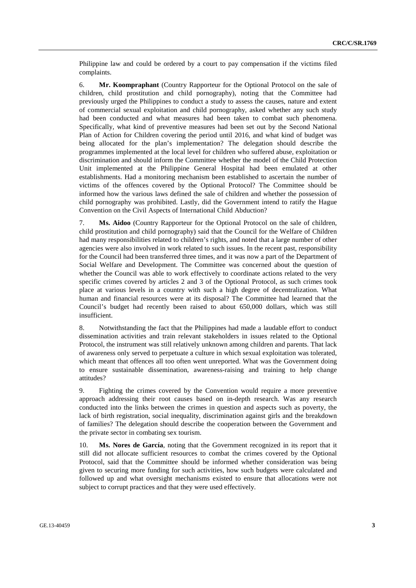Philippine law and could be ordered by a court to pay compensation if the victims filed complaints.

6. **Mr. Koompraphant** (Country Rapporteur for the Optional Protocol on the sale of children, child prostitution and child pornography), noting that the Committee had previously urged the Philippines to conduct a study to assess the causes, nature and extent of commercial sexual exploitation and child pornography, asked whether any such study had been conducted and what measures had been taken to combat such phenomena. Specifically, what kind of preventive measures had been set out by the Second National Plan of Action for Children covering the period until 2016, and what kind of budget was being allocated for the plan's implementation? The delegation should describe the programmes implemented at the local level for children who suffered abuse, exploitation or discrimination and should inform the Committee whether the model of the Child Protection Unit implemented at the Philippine General Hospital had been emulated at other establishments. Had a monitoring mechanism been established to ascertain the number of victims of the offences covered by the Optional Protocol? The Committee should be informed how the various laws defined the sale of children and whether the possession of child pornography was prohibited. Lastly, did the Government intend to ratify the Hague Convention on the Civil Aspects of International Child Abduction?

7. **Ms. Aidoo** (Country Rapporteur for the Optional Protocol on the sale of children, child prostitution and child pornography) said that the Council for the Welfare of Children had many responsibilities related to children's rights, and noted that a large number of other agencies were also involved in work related to such issues. In the recent past, responsibility for the Council had been transferred three times, and it was now a part of the Department of Social Welfare and Development. The Committee was concerned about the question of whether the Council was able to work effectively to coordinate actions related to the very specific crimes covered by articles 2 and 3 of the Optional Protocol, as such crimes took place at various levels in a country with such a high degree of decentralization. What human and financial resources were at its disposal? The Committee had learned that the Council's budget had recently been raised to about 650,000 dollars, which was still insufficient.

8. Notwithstanding the fact that the Philippines had made a laudable effort to conduct dissemination activities and train relevant stakeholders in issues related to the Optional Protocol, the instrument was still relatively unknown among children and parents. That lack of awareness only served to perpetuate a culture in which sexual exploitation was tolerated, which meant that offences all too often went unreported. What was the Government doing to ensure sustainable dissemination, awareness-raising and training to help change attitudes?

9. Fighting the crimes covered by the Convention would require a more preventive approach addressing their root causes based on in-depth research. Was any research conducted into the links between the crimes in question and aspects such as poverty, the lack of birth registration, social inequality, discrimination against girls and the breakdown of families? The delegation should describe the cooperation between the Government and the private sector in combating sex tourism.

10. **Ms. Nores de García**, noting that the Government recognized in its report that it still did not allocate sufficient resources to combat the crimes covered by the Optional Protocol, said that the Committee should be informed whether consideration was being given to securing more funding for such activities, how such budgets were calculated and followed up and what oversight mechanisms existed to ensure that allocations were not subject to corrupt practices and that they were used effectively.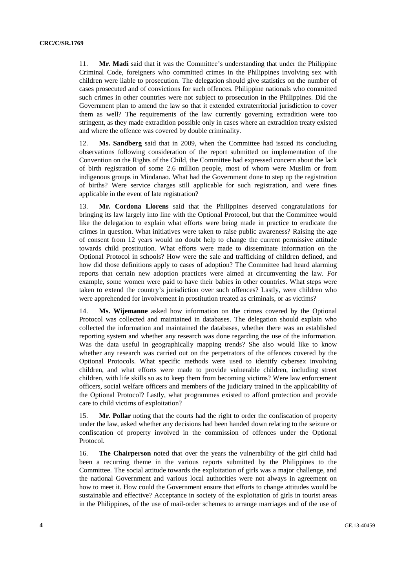11. **Mr. Madi** said that it was the Committee's understanding that under the Philippine Criminal Code, foreigners who committed crimes in the Philippines involving sex with children were liable to prosecution. The delegation should give statistics on the number of cases prosecuted and of convictions for such offences. Philippine nationals who committed such crimes in other countries were not subject to prosecution in the Philippines. Did the Government plan to amend the law so that it extended extraterritorial jurisdiction to cover them as well? The requirements of the law currently governing extradition were too stringent, as they made extradition possible only in cases where an extradition treaty existed and where the offence was covered by double criminality.

12. **Ms. Sandberg** said that in 2009, when the Committee had issued its concluding observations following consideration of the report submitted on implementation of the Convention on the Rights of the Child, the Committee had expressed concern about the lack of birth registration of some 2.6 million people, most of whom were Muslim or from indigenous groups in Mindanao. What had the Government done to step up the registration of births? Were service charges still applicable for such registration, and were fines applicable in the event of late registration?

13. **Mr. Cordona Llorens** said that the Philippines deserved congratulations for bringing its law largely into line with the Optional Protocol, but that the Committee would like the delegation to explain what efforts were being made in practice to eradicate the crimes in question. What initiatives were taken to raise public awareness? Raising the age of consent from 12 years would no doubt help to change the current permissive attitude towards child prostitution. What efforts were made to disseminate information on the Optional Protocol in schools? How were the sale and trafficking of children defined, and how did those definitions apply to cases of adoption? The Committee had heard alarming reports that certain new adoption practices were aimed at circumventing the law. For example, some women were paid to have their babies in other countries. What steps were taken to extend the country's jurisdiction over such offences? Lastly, were children who were apprehended for involvement in prostitution treated as criminals, or as victims?

14. **Ms. Wijemanne** asked how information on the crimes covered by the Optional Protocol was collected and maintained in databases. The delegation should explain who collected the information and maintained the databases, whether there was an established reporting system and whether any research was done regarding the use of the information. Was the data useful in geographically mapping trends? She also would like to know whether any research was carried out on the perpetrators of the offences covered by the Optional Protocols. What specific methods were used to identify cybersex involving children, and what efforts were made to provide vulnerable children, including street children, with life skills so as to keep them from becoming victims? Were law enforcement officers, social welfare officers and members of the judiciary trained in the applicability of the Optional Protocol? Lastly, what programmes existed to afford protection and provide care to child victims of exploitation?

15. **Mr. Pollar** noting that the courts had the right to order the confiscation of property under the law, asked whether any decisions had been handed down relating to the seizure or confiscation of property involved in the commission of offences under the Optional Protocol.

16. **The Chairperson** noted that over the years the vulnerability of the girl child had been a recurring theme in the various reports submitted by the Philippines to the Committee. The social attitude towards the exploitation of girls was a major challenge, and the national Government and various local authorities were not always in agreement on how to meet it. How could the Government ensure that efforts to change attitudes would be sustainable and effective? Acceptance in society of the exploitation of girls in tourist areas in the Philippines, of the use of mail-order schemes to arrange marriages and of the use of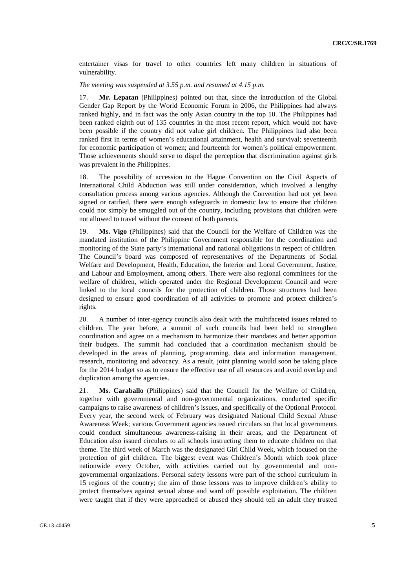entertainer visas for travel to other countries left many children in situations of vulnerability.

*The meeting was suspended at 3.55 p.m. and resumed at 4.15 p.m.* 

17. **Mr. Lepatan** (Philippines) pointed out that, since the introduction of the Global Gender Gap Report by the World Economic Forum in 2006, the Philippines had always ranked highly, and in fact was the only Asian country in the top 10. The Philippines had been ranked eighth out of 135 countries in the most recent report, which would not have been possible if the country did not value girl children. The Philippines had also been ranked first in terms of women's educational attainment, health and survival; seventeenth for economic participation of women; and fourteenth for women's political empowerment. Those achievements should serve to dispel the perception that discrimination against girls was prevalent in the Philippines.

18. The possibility of accession to the Hague Convention on the Civil Aspects of International Child Abduction was still under consideration, which involved a lengthy consultation process among various agencies. Although the Convention had not yet been signed or ratified, there were enough safeguards in domestic law to ensure that children could not simply be smuggled out of the country, including provisions that children were not allowed to travel without the consent of both parents.

19. **Ms. Vigo** (Philippines) said that the Council for the Welfare of Children was the mandated institution of the Philippine Government responsible for the coordination and monitoring of the State party's international and national obligations in respect of children. The Council's board was composed of representatives of the Departments of Social Welfare and Development, Health, Education, the Interior and Local Government, Justice, and Labour and Employment, among others. There were also regional committees for the welfare of children, which operated under the Regional Development Council and were linked to the local councils for the protection of children. Those structures had been designed to ensure good coordination of all activities to promote and protect children's rights.

20. A number of inter-agency councils also dealt with the multifaceted issues related to children. The year before, a summit of such councils had been held to strengthen coordination and agree on a mechanism to harmonize their mandates and better apportion their budgets. The summit had concluded that a coordination mechanism should be developed in the areas of planning, programming, data and information management, research, monitoring and advocacy. As a result, joint planning would soon be taking place for the 2014 budget so as to ensure the effective use of all resources and avoid overlap and duplication among the agencies.

21. **Ms. Caraballo** (Philippines) said that the Council for the Welfare of Children, together with governmental and non-governmental organizations, conducted specific campaigns to raise awareness of children's issues, and specifically of the Optional Protocol. Every year, the second week of February was designated National Child Sexual Abuse Awareness Week; various Government agencies issued circulars so that local governments could conduct simultaneous awareness-raising in their areas, and the Department of Education also issued circulars to all schools instructing them to educate children on that theme. The third week of March was the designated Girl Child Week, which focused on the protection of girl children. The biggest event was Children's Month which took place nationwide every October, with activities carried out by governmental and nongovernmental organizations. Personal safety lessons were part of the school curriculum in 15 regions of the country; the aim of those lessons was to improve children's ability to protect themselves against sexual abuse and ward off possible exploitation. The children were taught that if they were approached or abused they should tell an adult they trusted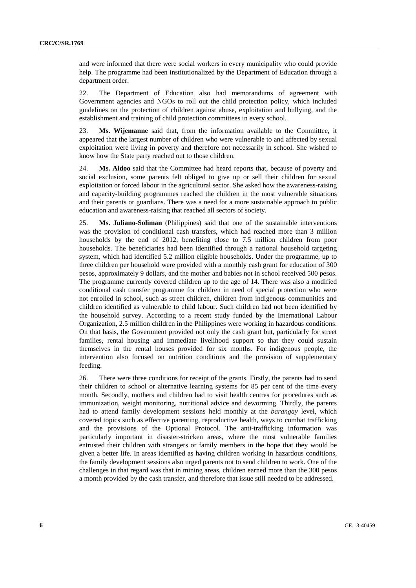and were informed that there were social workers in every municipality who could provide help. The programme had been institutionalized by the Department of Education through a department order.

22. The Department of Education also had memorandums of agreement with Government agencies and NGOs to roll out the child protection policy, which included guidelines on the protection of children against abuse, exploitation and bullying, and the establishment and training of child protection committees in every school.

23. **Ms. Wijemanne** said that, from the information available to the Committee, it appeared that the largest number of children who were vulnerable to and affected by sexual exploitation were living in poverty and therefore not necessarily in school. She wished to know how the State party reached out to those children.

24. **Ms. Aidoo** said that the Committee had heard reports that, because of poverty and social exclusion, some parents felt obliged to give up or sell their children for sexual exploitation or forced labour in the agricultural sector. She asked how the awareness-raising and capacity-building programmes reached the children in the most vulnerable situations and their parents or guardians. There was a need for a more sustainable approach to public education and awareness-raising that reached all sectors of society.

25. **Ms. Juliano-Soliman** (Philippines) said that one of the sustainable interventions was the provision of conditional cash transfers, which had reached more than 3 million households by the end of 2012, benefiting close to 7.5 million children from poor households. The beneficiaries had been identified through a national household targeting system, which had identified 5.2 million eligible households. Under the programme, up to three children per household were provided with a monthly cash grant for education of 300 pesos, approximately 9 dollars, and the mother and babies not in school received 500 pesos. The programme currently covered children up to the age of 14. There was also a modified conditional cash transfer programme for children in need of special protection who were not enrolled in school, such as street children, children from indigenous communities and children identified as vulnerable to child labour. Such children had not been identified by the household survey. According to a recent study funded by the International Labour Organization, 2.5 million children in the Philippines were working in hazardous conditions. On that basis, the Government provided not only the cash grant but, particularly for street families, rental housing and immediate livelihood support so that they could sustain themselves in the rental houses provided for six months. For indigenous people, the intervention also focused on nutrition conditions and the provision of supplementary feeding.

26. There were three conditions for receipt of the grants. Firstly, the parents had to send their children to school or alternative learning systems for 85 per cent of the time every month. Secondly, mothers and children had to visit health centres for procedures such as immunization, weight monitoring, nutritional advice and deworming. Thirdly, the parents had to attend family development sessions held monthly at the *barangay* level, which covered topics such as effective parenting, reproductive health, ways to combat trafficking and the provisions of the Optional Protocol. The anti-trafficking information was particularly important in disaster-stricken areas, where the most vulnerable families entrusted their children with strangers or family members in the hope that they would be given a better life. In areas identified as having children working in hazardous conditions, the family development sessions also urged parents not to send children to work. One of the challenges in that regard was that in mining areas, children earned more than the 300 pesos a month provided by the cash transfer, and therefore that issue still needed to be addressed.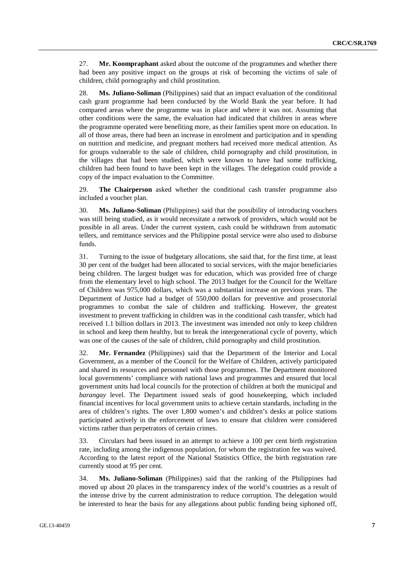27. **Mr. Koompraphant** asked about the outcome of the programmes and whether there had been any positive impact on the groups at risk of becoming the victims of sale of children, child pornography and child prostitution.

28. **Ms. Juliano-Soliman** (Philippines) said that an impact evaluation of the conditional cash grant programme had been conducted by the World Bank the year before. It had compared areas where the programme was in place and where it was not. Assuming that other conditions were the same, the evaluation had indicated that children in areas where the programme operated were benefiting more, as their families spent more on education. In all of those areas, there had been an increase in enrolment and participation and in spending on nutrition and medicine, and pregnant mothers had received more medical attention. As for groups vulnerable to the sale of children, child pornography and child prostitution, in the villages that had been studied, which were known to have had some trafficking, children had been found to have been kept in the villages. The delegation could provide a copy of the impact evaluation to the Committee.

29. **The Chairperson** asked whether the conditional cash transfer programme also included a voucher plan.

30. **Ms. Juliano-Soliman** (Philippines) said that the possibility of introducing vouchers was still being studied, as it would necessitate a network of providers, which would not be possible in all areas. Under the current system, cash could be withdrawn from automatic tellers, and remittance services and the Philippine postal service were also used to disburse funds.

31. Turning to the issue of budgetary allocations, she said that, for the first time, at least 30 per cent of the budget had been allocated to social services, with the major beneficiaries being children. The largest budget was for education, which was provided free of charge from the elementary level to high school. The 2013 budget for the Council for the Welfare of Children was 975,000 dollars, which was a substantial increase on previous years. The Department of Justice had a budget of 550,000 dollars for preventive and prosecutorial programmes to combat the sale of children and trafficking. However, the greatest investment to prevent trafficking in children was in the conditional cash transfer, which had received 1.1 billion dollars in 2013. The investment was intended not only to keep children in school and keep them healthy, but to break the intergenerational cycle of poverty, which was one of the causes of the sale of children, child pornography and child prostitution.

32. **Mr. Fernandez** (Philippines) said that the Department of the Interior and Local Government, as a member of the Council for the Welfare of Children, actively participated and shared its resources and personnel with those programmes. The Department monitored local governments' compliance with national laws and programmes and ensured that local government units had local councils for the protection of children at both the municipal and *barangay* level. The Department issued seals of good housekeeping, which included financial incentives for local government units to achieve certain standards, including in the area of children's rights. The over 1,800 women's and children's desks at police stations participated actively in the enforcement of laws to ensure that children were considered victims rather than perpetrators of certain crimes.

33. Circulars had been issued in an attempt to achieve a 100 per cent birth registration rate, including among the indigenous population, for whom the registration fee was waived. According to the latest report of the National Statistics Office, the birth registration rate currently stood at 95 per cent.

34. **Ms. Juliano-Soliman** (Philippines) said that the ranking of the Philippines had moved up about 20 places in the transparency index of the world's countries as a result of the intense drive by the current administration to reduce corruption. The delegation would be interested to hear the basis for any allegations about public funding being siphoned off,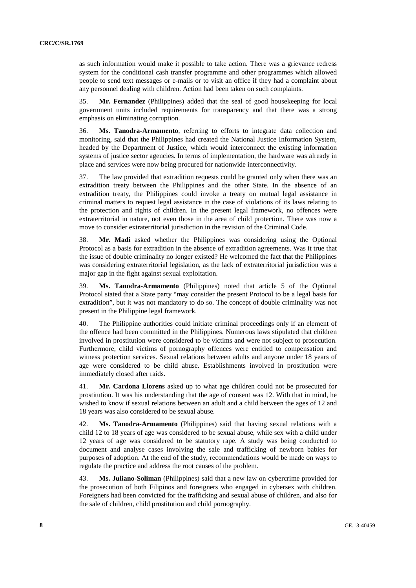as such information would make it possible to take action. There was a grievance redress system for the conditional cash transfer programme and other programmes which allowed people to send text messages or e-mails or to visit an office if they had a complaint about any personnel dealing with children. Action had been taken on such complaints.

35. **Mr. Fernandez** (Philippines) added that the seal of good housekeeping for local government units included requirements for transparency and that there was a strong emphasis on eliminating corruption.

36. **Ms. Tanodra-Armamento**, referring to efforts to integrate data collection and monitoring, said that the Philippines had created the National Justice Information System, headed by the Department of Justice, which would interconnect the existing information systems of justice sector agencies. In terms of implementation, the hardware was already in place and services were now being procured for nationwide interconnectivity.

37. The law provided that extradition requests could be granted only when there was an extradition treaty between the Philippines and the other State. In the absence of an extradition treaty, the Philippines could invoke a treaty on mutual legal assistance in criminal matters to request legal assistance in the case of violations of its laws relating to the protection and rights of children. In the present legal framework, no offences were extraterritorial in nature, not even those in the area of child protection. There was now a move to consider extraterritorial jurisdiction in the revision of the Criminal Code.

38. **Mr. Madi** asked whether the Philippines was considering using the Optional Protocol as a basis for extradition in the absence of extradition agreements. Was it true that the issue of double criminality no longer existed? He welcomed the fact that the Philippines was considering extraterritorial legislation, as the lack of extraterritorial jurisdiction was a major gap in the fight against sexual exploitation.

39. **Ms. Tanodra-Armamento** (Philippines) noted that article 5 of the Optional Protocol stated that a State party "may consider the present Protocol to be a legal basis for extradition", but it was not mandatory to do so. The concept of double criminality was not present in the Philippine legal framework.

40. The Philippine authorities could initiate criminal proceedings only if an element of the offence had been committed in the Philippines. Numerous laws stipulated that children involved in prostitution were considered to be victims and were not subject to prosecution. Furthermore, child victims of pornography offences were entitled to compensation and witness protection services. Sexual relations between adults and anyone under 18 years of age were considered to be child abuse. Establishments involved in prostitution were immediately closed after raids.

41. **Mr. Cardona Llorens** asked up to what age children could not be prosecuted for prostitution. It was his understanding that the age of consent was 12. With that in mind, he wished to know if sexual relations between an adult and a child between the ages of 12 and 18 years was also considered to be sexual abuse.

42. **Ms. Tanodra-Armamento** (Philippines) said that having sexual relations with a child 12 to 18 years of age was considered to be sexual abuse, while sex with a child under 12 years of age was considered to be statutory rape. A study was being conducted to document and analyse cases involving the sale and trafficking of newborn babies for purposes of adoption. At the end of the study, recommendations would be made on ways to regulate the practice and address the root causes of the problem.

43. **Ms. Juliano-Soliman** (Philippines) said that a new law on cybercrime provided for the prosecution of both Filipinos and foreigners who engaged in cybersex with children. Foreigners had been convicted for the trafficking and sexual abuse of children, and also for the sale of children, child prostitution and child pornography.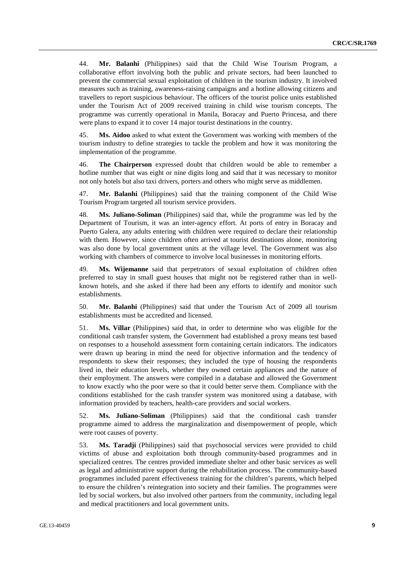44. **Mr. Balanhi** (Philippines) said that the Child Wise Tourism Program, a collaborative effort involving both the public and private sectors, had been launched to prevent the commercial sexual exploitation of children in the tourism industry. It involved measures such as training, awareness-raising campaigns and a hotline allowing citizens and travellers to report suspicious behaviour. The officers of the tourist police units established under the Tourism Act of 2009 received training in child wise tourism concepts. The programme was currently operational in Manila, Boracay and Puerto Princesa, and there were plans to expand it to cover 14 major tourist destinations in the country.

45. **Ms. Aidoo** asked to what extent the Government was working with members of the tourism industry to define strategies to tackle the problem and how it was monitoring the implementation of the programme.

46. **The Chairperson** expressed doubt that children would be able to remember a hotline number that was eight or nine digits long and said that it was necessary to monitor not only hotels but also taxi drivers, porters and others who might serve as middlemen.

47. **Mr. Balanhi** (Philippines) said that the training component of the Child Wise Tourism Program targeted all tourism service providers.

48. **Ms. Juliano-Soliman** (Philippines) said that, while the programme was led by the Department of Tourism, it was an inter-agency effort. At ports of entry in Boracay and Puerto Galera, any adults entering with children were required to declare their relationship with them. However, since children often arrived at tourist destinations alone, monitoring was also done by local government units at the village level. The Government was also working with chambers of commerce to involve local businesses in monitoring efforts.

49. **Ms. Wijemanne** said that perpetrators of sexual exploitation of children often preferred to stay in small guest houses that might not be registered rather than in wellknown hotels, and she asked if there had been any efforts to identify and monitor such establishments.

50. **Mr. Balanhi** (Philippines) said that under the Tourism Act of 2009 all tourism establishments must be accredited and licensed.

51. **Ms. Villar** (Philippines) said that, in order to determine who was eligible for the conditional cash transfer system, the Government had established a proxy means test based on responses to a household assessment form containing certain indicators. The indicators were drawn up bearing in mind the need for objective information and the tendency of respondents to skew their responses; they included the type of housing the respondents lived in, their education levels, whether they owned certain appliances and the nature of their employment. The answers were compiled in a database and allowed the Government to know exactly who the poor were so that it could better serve them. Compliance with the conditions established for the cash transfer system was monitored using a database, with information provided by teachers, health-care providers and social workers.

52. **Ms. Juliano-Soliman** (Philippines) said that the conditional cash transfer programme aimed to address the marginalization and disempowerment of people, which were root causes of poverty.

53. **Ms. Taradji** (Philippines) said that psychosocial services were provided to child victims of abuse and exploitation both through community-based programmes and in specialized centres. The centres provided immediate shelter and other basic services as well as legal and administrative support during the rehabilitation process. The community-based programmes included parent effectiveness training for the children's parents, which helped to ensure the children's reintegration into society and their families. The programmes were led by social workers, but also involved other partners from the community, including legal and medical practitioners and local government units.